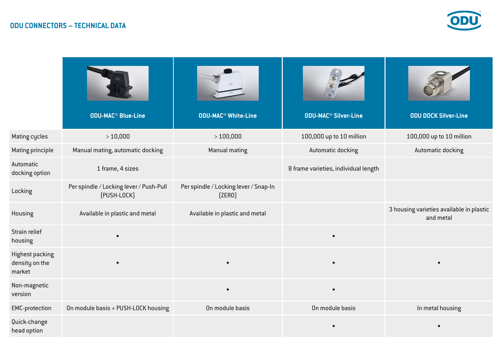

|                                                    | <b>ODU-MAC<sup>®</sup> Blue-Line</b>                   | <b>ODU-MAC<sup>®</sup> White-Line</b>           | <b>ODU-MAC<sup>®</sup> Silver-Line</b> | <b>ODU DOCK Silver-Line</b>                           |
|----------------------------------------------------|--------------------------------------------------------|-------------------------------------------------|----------------------------------------|-------------------------------------------------------|
| Mating cycles                                      | >10,000                                                | >100,000                                        | 100,000 up to 10 million               | 100,000 up to 10 million                              |
| <b>Mating principle</b>                            | Manual mating, automatic docking                       | <b>Manual mating</b>                            | <b>Automatic docking</b>               | Automatic docking                                     |
| Automatic<br>docking option                        | 1 frame, 4 sizes                                       |                                                 | 8 frame varieties, individual length   |                                                       |
| Locking                                            | Per spindle / Locking lever / Push-Pull<br>[PUSH-LOCK] | Per spindle / Locking lever / Snap-In<br>[ZER0] |                                        |                                                       |
| Housing                                            | Available in plastic and metal                         | Available in plastic and metal                  |                                        | 3 housing varieties available in plastic<br>and metal |
| Strain relief<br>housing                           | $\bullet$                                              |                                                 | $\bullet$                              |                                                       |
| <b>Highest packing</b><br>density on the<br>market |                                                        | $\bullet$                                       | $\bullet$                              |                                                       |
| Non-magnetic<br>version                            |                                                        | $\bullet$                                       | $\bullet$                              |                                                       |
| <b>EMC-protection</b>                              | On module basis + PUSH-LOCK housing                    | On module basis                                 | On module basis                        | In metal housing                                      |
| Quick-change<br>head option                        |                                                        |                                                 | $\bullet$                              |                                                       |